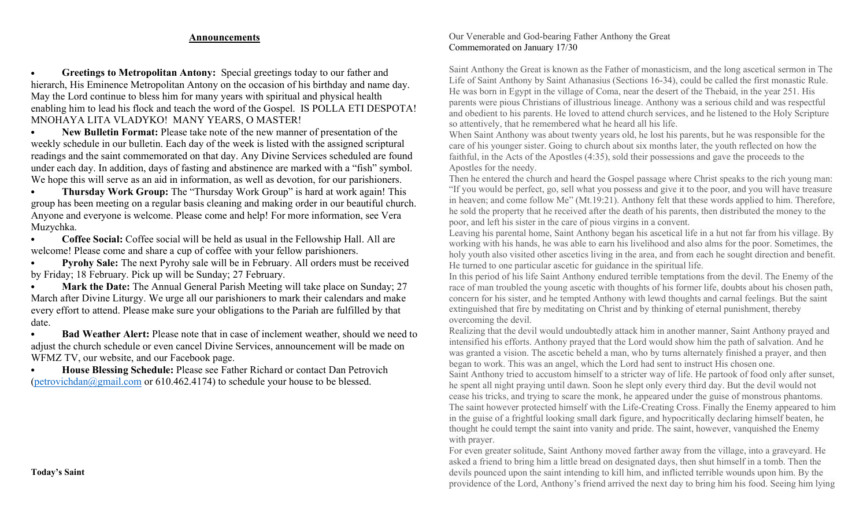## Announcements

• Greetings to Metropolitan Antony: Special greetings today to our father and hierarch, His Eminence Metropolitan Antony on the occasion of his birthday and name day. May the Lord continue to bless him for many years with spiritual and physical health enabling him to lead his flock and teach the word of the Gospel. IS POLLA ETI DESPOTA! MNOHAYA LITA VLADYKO! MANY YEARS, O MASTER!

• New Bulletin Format: Please take note of the new manner of presentation of the weekly schedule in our bulletin. Each day of the week is listed with the assigned scriptural readings and the saint commemorated on that day. Any Divine Services scheduled are found under each day. In addition, days of fasting and abstinence are marked with a "fish" symbol. We hope this will serve as an aid in information, as well as devotion, for our parishioners.

• Thursday Work Group: The "Thursday Work Group" is hard at work again! This group has been meeting on a regular basis cleaning and making order in our beautiful church. Anyone and everyone is welcome. Please come and help! For more information, see Vera Muzychka.

• Coffee Social: Coffee social will be held as usual in the Fellowship Hall. All are welcome! Please come and share a cup of coffee with your fellow parishioners.

**Pyrohy Sale:** The next Pyrohy sale will be in February. All orders must be received by Friday; 18 February. Pick up will be Sunday; 27 February.

Mark the Date: The Annual General Parish Meeting will take place on Sunday; 27 March after Divine Liturgy. We urge all our parishioners to mark their calendars and make every effort to attend. Please make sure your obligations to the Pariah are fulfilled by that date.

• Bad Weather Alert: Please note that in case of inclement weather, should we need to adjust the church schedule or even cancel Divine Services, announcement will be made on WFMZ TV, our website, and our Facebook page.

• House Blessing Schedule: Please see Father Richard or contact Dan Petrovich (petrovichdan@gmail.com or 610.462.4174) to schedule your house to be blessed.

## Today's Saint

## Our Venerable and God-bearing Father Anthony the Great Commemorated on January 17/30

Saint Anthony the Great is known as the Father of monasticism, and the long ascetical sermon in The Life of Saint Anthony by Saint Athanasius (Sections 16-34), could be called the first monastic Rule. He was born in Egypt in the village of Coma, near the desert of the Thebaid, in the year 251. His parents were pious Christians of illustrious lineage. Anthony was a serious child and was respectful and obedient to his parents. He loved to attend church services, and he listened to the Holy Scripture so attentively, that he remembered what he heard all his life.

When Saint Anthony was about twenty years old, he lost his parents, but he was responsible for the care of his younger sister. Going to church about six months later, the youth reflected on how the faithful, in the Acts of the Apostles (4:35), sold their possessions and gave the proceeds to the Apostles for the needy.

Then he entered the church and heard the Gospel passage where Christ speaks to the rich young man: "If you would be perfect, go, sell what you possess and give it to the poor, and you will have treasure in heaven; and come follow Me" (Mt.19:21). Anthony felt that these words applied to him. Therefore, he sold the property that he received after the death of his parents, then distributed the money to the poor, and left his sister in the care of pious virgins in a convent.

Leaving his parental home, Saint Anthony began his ascetical life in a hut not far from his village. By working with his hands, he was able to earn his livelihood and also alms for the poor. Sometimes, the holy youth also visited other ascetics living in the area, and from each he sought direction and benefit. He turned to one particular ascetic for guidance in the spiritual life.

In this period of his life Saint Anthony endured terrible temptations from the devil. The Enemy of the race of man troubled the young ascetic with thoughts of his former life, doubts about his chosen path, concern for his sister, and he tempted Anthony with lewd thoughts and carnal feelings. But the saint extinguished that fire by meditating on Christ and by thinking of eternal punishment, thereby overcoming the devil.

Realizing that the devil would undoubtedly attack him in another manner, Saint Anthony prayed and intensified his efforts. Anthony prayed that the Lord would show him the path of salvation. And he was granted a vision. The ascetic beheld a man, who by turns alternately finished a prayer, and then began to work. This was an angel, which the Lord had sent to instruct His chosen one.

Saint Anthony tried to accustom himself to a stricter way of life. He partook of food only after sunset, he spent all night praying until dawn. Soon he slept only every third day. But the devil would not cease his tricks, and trying to scare the monk, he appeared under the guise of monstrous phantoms. The saint however protected himself with the Life-Creating Cross. Finally the Enemy appeared to him in the guise of a frightful looking small dark figure, and hypocritically declaring himself beaten, he thought he could tempt the saint into vanity and pride. The saint, however, vanquished the Enemy with prayer.

For even greater solitude, Saint Anthony moved farther away from the village, into a graveyard. He asked a friend to bring him a little bread on designated days, then shut himself in a tomb. Then the devils pounced upon the saint intending to kill him, and inflicted terrible wounds upon him. By the providence of the Lord, Anthony's friend arrived the next day to bring him his food. Seeing him lying